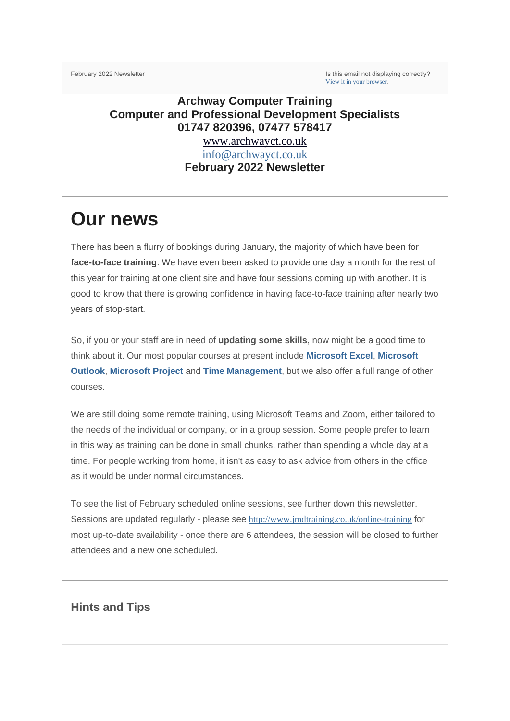February 2022 Newsletter **Is this email not displaying correctly**? [View it in your browser](https://us2.campaign-archive.com/?e=__test_email__&u=57e6cd5c53ab47d556d5472c8&id=a0661de267).

### **Archway Computer Training Computer and Professional Development Specialists 01747 820396, 07477 578417**

[www.archwayct.co.uk](http://www.archwayct.co.uk/) [info@archwayct.co.uk](mailto:%20info@archwayct.co.uk) **February 2022 Newsletter**

# **Our news**

There has been a flurry of bookings during January, the majority of which have been for **face-to-face training**. We have even been asked to provide one day a month for the rest of this year for training at one client site and have four sessions coming up with another. It is good to know that there is growing confidence in having face-to-face training after nearly two years of stop-start.

So, if you or your staff are in need of **updating some skills**, now might be a good time to think about it. Our most popular courses at present include **[Microsoft Excel](http://www.archwayct.co.uk/microsoft-office-training/microsoft-excel-training)**, **[Microsoft](http://www.archwayct.co.uk/microsoft-office-training/microsoft-outlook-training)  [Outlook](http://www.archwayct.co.uk/microsoft-office-training/microsoft-outlook-training)**, **[Microsoft Project](http://www.archwayct.co.uk/it-training/microsoft-project-training)** and **[Time Management](http://www.archwayct.co.uk/professional-development-training/time-management-training)**, but we also offer a full range of other courses.

We are still doing some remote training, using Microsoft Teams and Zoom, either tailored to the needs of the individual or company, or in a group session. Some people prefer to learn in this way as training can be done in small chunks, rather than spending a whole day at a time. For people working from home, it isn't as easy to ask advice from others in the office as it would be under normal circumstances.

To see the list of February scheduled online sessions, see further down this newsletter. Sessions are updated regularly - please see [http://www.jmdtraining.co.uk/online-training](http://www.archwayct.co.uk/online-training) for most up-to-date availability - once there are 6 attendees, the session will be closed to further attendees and a new one scheduled.

#### **Hints and Tips**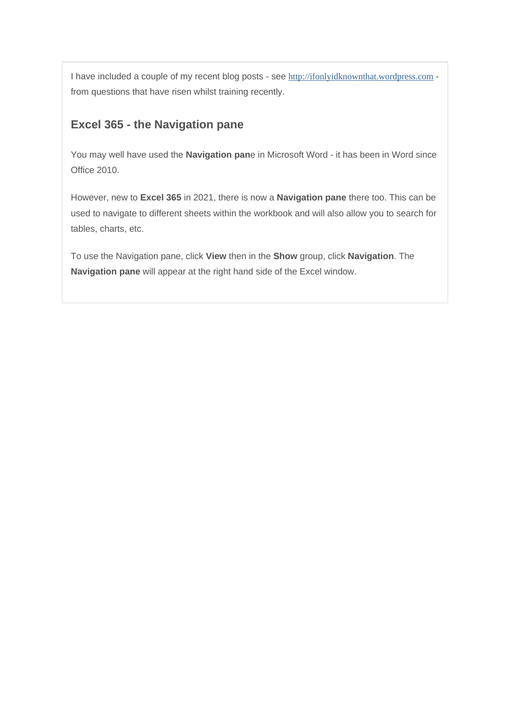I have included a couple of my recent blog posts - see [http://ifonlyidknownthat.wordpress.com](http://ifonlyidknownthat.wordpress.com/) from questions that have risen whilst training recently.

#### **Excel 365 - the Navigation pane**

You may well have used the **Navigation pan**e in Microsoft Word - it has been in Word since Office 2010.

However, new to **Excel 365** in 2021, there is now a **Navigation pane** there too. This can be used to navigate to different sheets within the workbook and will also allow you to search for tables, charts, etc.

To use the Navigation pane, click **View** then in the **Show** group, click **Navigation**. The **Navigation pane** will appear at the right hand side of the Excel window.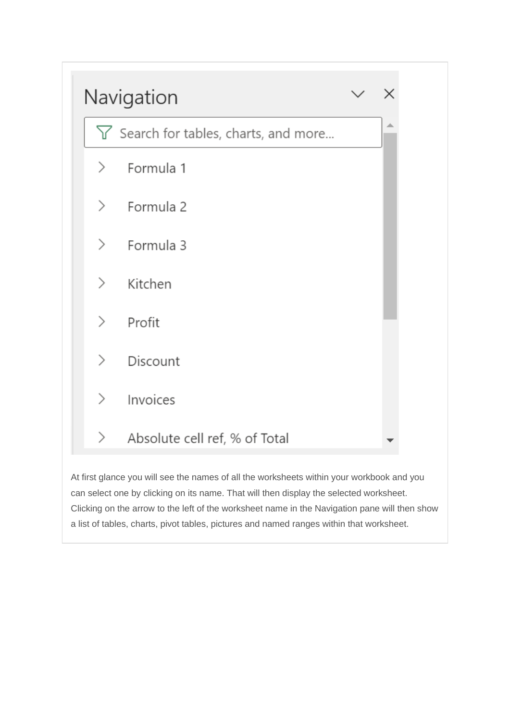

At first glance you will see the names of all the worksheets within your workbook and you can select one by clicking on its name. That will then display the selected worksheet. Clicking on the arrow to the left of the worksheet name in the Navigation pane will then show a list of tables, charts, pivot tables, pictures and named ranges within that worksheet.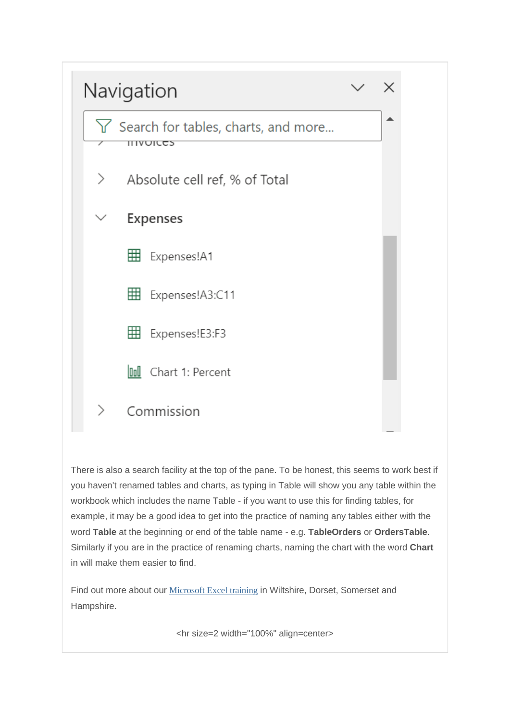

There is also a search facility at the top of the pane. To be honest, this seems to work best if you haven't renamed tables and charts, as typing in Table will show you any table within the workbook which includes the name Table - if you want to use this for finding tables, for example, it may be a good idea to get into the practice of naming any tables either with the word **Table** at the beginning or end of the table name - e.g. **TableOrders** or **OrdersTable**. Similarly if you are in the practice of renaming charts, naming the chart with the word **Chart** in will make them easier to find.

Find out more about our [Microsoft Excel training](http://www.archwayct.co.uk/microsoft-office-training/microsoft-excel-training) in Wiltshire, Dorset, Somerset and Hampshire.

<hr size=2 width="100%" align=center>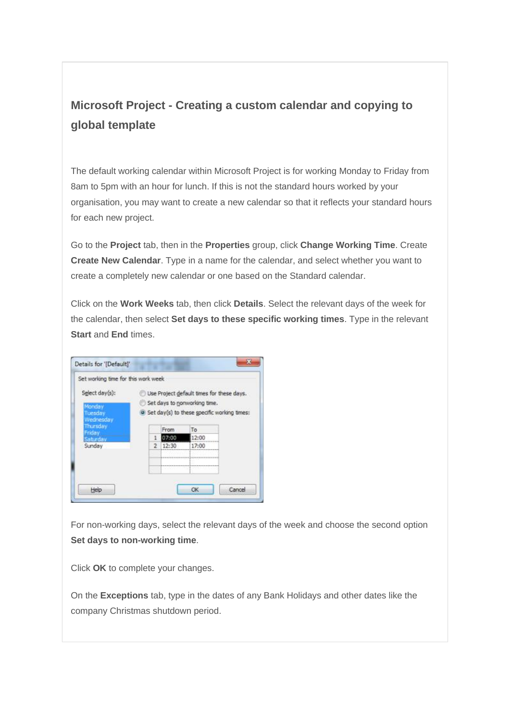## **Microsoft Project - Creating a custom calendar and copying to global template**

The default working calendar within Microsoft Project is for working Monday to Friday from 8am to 5pm with an hour for lunch. If this is not the standard hours worked by your organisation, you may want to create a new calendar so that it reflects your standard hours for each new project.

Go to the **Project** tab, then in the **Properties** group, click **Change Working Time**. Create **Create New Calendar**. Type in a name for the calendar, and select whether you want to create a completely new calendar or one based on the Standard calendar.

Click on the **Work Weeks** tab, then click **Details**. Select the relevant days of the week for the calendar, then select **Set days to these specific working times**. Type in the relevant **Start** and **End** times.

|                                                  | Set working time for this work week                                                                                      |       |                                                                    |  |
|--------------------------------------------------|--------------------------------------------------------------------------------------------------------------------------|-------|--------------------------------------------------------------------|--|
| Select day(s):<br>Monday<br>luesdav<br>Vednesday | Use Project default times for these days.<br>Set days to nonworking time.<br>Set day(s) to these specific working times: |       |                                                                    |  |
| hursday<br>riday                                 |                                                                                                                          | From  | To                                                                 |  |
| murdav.                                          | л                                                                                                                        | 07:00 | 12:00                                                              |  |
| Sunday                                           | 2                                                                                                                        | 12:30 | 17:00                                                              |  |
|                                                  |                                                                                                                          |       | singles in the science of which is the most of the property of the |  |
|                                                  |                                                                                                                          |       |                                                                    |  |

For non-working days, select the relevant days of the week and choose the second option **Set days to non-working time**.

Click **OK** to complete your changes.

On the **Exceptions** tab, type in the dates of any Bank Holidays and other dates like the company Christmas shutdown period.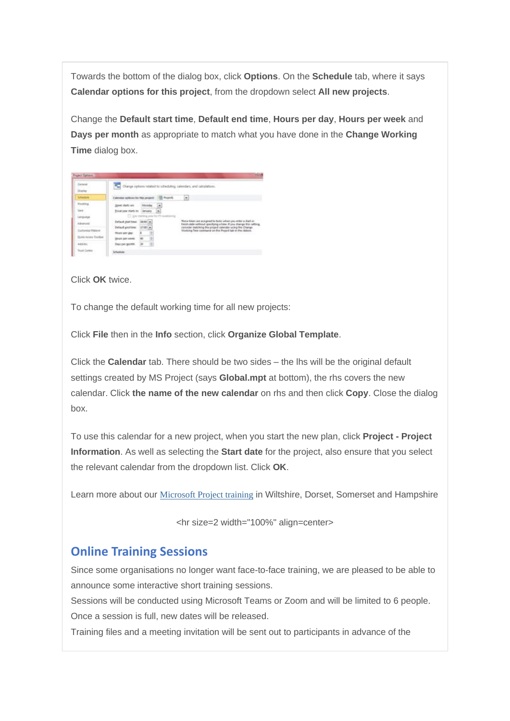Towards the bottom of the dialog box, click **Options**. On the **Schedule** tab, where it says **Calendar options for this project**, from the dropdown select **All new projects**.

Change the **Default start time**, **Default end time**, **Hours per day**, **Hours per week** and **Days per month** as appropriate to match what you have done in the **Change Working Time** dialog box.

| General<br>Director |                                     |   | 2.30<br>Change options related to scheduling, calendars, and calculations.                                                          |
|---------------------|-------------------------------------|---|-------------------------------------------------------------------------------------------------------------------------------------|
| <b>Participa</b>    | about a colored for this period.    |   | ۰                                                                                                                                   |
| <b>Prosting</b>     | <b>Hier chaft</b> and               | ٠ |                                                                                                                                     |
| 1884                | Electripear starts by   January     | ٠ |                                                                                                                                     |
| Lenguage            | [1] University year for Photosterog |   |                                                                                                                                     |
| Advanced            | Default start time<br>100-00-0      |   | These times are assigned to tasks wheel you eiter a shall or<br>hinich date without (pecifying a time, if you change this cetters). |
| Customba Ribbon     | Default and him:<br>17:00:14        |   | comider instahing the project calendar uning the Chairies<br>lilooking fiest command on the Project tab in the ribbon.              |
|                     | Hours per glas!                     |   |                                                                                                                                     |
| Dükk Asses Toolbar  | <b>Hours per creek</b><br>40        |   |                                                                                                                                     |
| and Jul             | Day's part sportfill.               |   |                                                                                                                                     |
| Trust Career        | Scheitliche                         |   |                                                                                                                                     |

Click **OK** twice.

To change the default working time for all new projects:

Click **File** then in the **Info** section, click **Organize Global Template**.

Click the **Calendar** tab. There should be two sides – the lhs will be the original default settings created by MS Project (says **Global.mpt** at bottom), the rhs covers the new calendar. Click **the name of the new calendar** on rhs and then click **Copy**. Close the dialog box.

To use this calendar for a new project, when you start the new plan, click **Project - Project Information**. As well as selecting the **Start date** for the project, also ensure that you select the relevant calendar from the dropdown list. Click **OK**.

Learn more about our [Microsoft Project training](http://www.archwayct.co.uk/it-training/microsoft-project-training) in Wiltshire, Dorset, Somerset and Hampshire

<hr size=2 width="100%" align=center>

#### **Online Training Sessions**

Since some organisations no longer want face-to-face training, we are pleased to be able to announce some interactive short training sessions.

Sessions will be conducted using Microsoft Teams or Zoom and will be limited to 6 people. Once a session is full, new dates will be released.

Training files and a meeting invitation will be sent out to participants in advance of the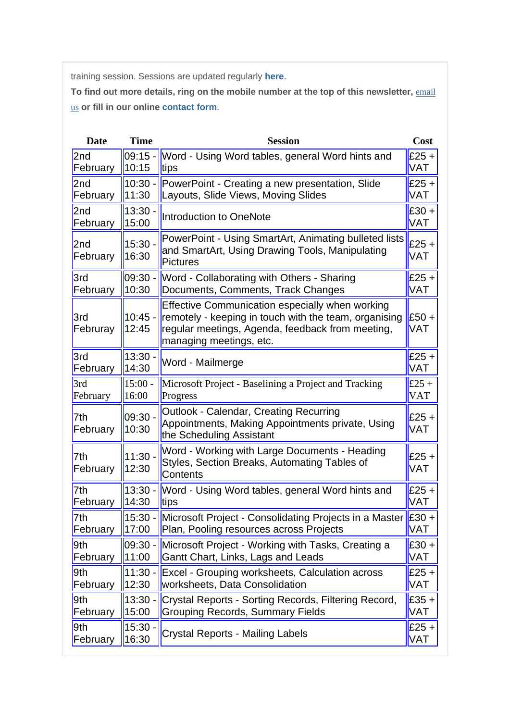training session. Sessions are updated regularly **[here](http://www.archwayct.co.uk/online-training)**.

To find out more details, ring on the mobile number at the top of this newsletter, **email** [us](mailto:info@archwayct.co.uk?subject=Online%20training) **or fill in our online [contact form](http://www.archwayct.co.uk/contact)**.

| <b>Date</b>     | <b>Time</b>        | <b>Session</b>                                                                                                                                                                          | Cost                  |
|-----------------|--------------------|-----------------------------------------------------------------------------------------------------------------------------------------------------------------------------------------|-----------------------|
| 2 <sub>nd</sub> | $09:15 -$          | Word - Using Word tables, general Word hints and                                                                                                                                        | $£25 +$               |
| February        | 10:15              | tips                                                                                                                                                                                    | VAT                   |
| 2 <sub>nd</sub> | $10:30 -$          | PowerPoint - Creating a new presentation, Slide                                                                                                                                         | £25 $+$               |
| February        | 11:30              | Layouts, Slide Views, Moving Slides                                                                                                                                                     | <b>VAT</b>            |
| 2nd             | 13:30              | <b>Introduction to OneNote</b>                                                                                                                                                          | $£30 +$               |
| February        | 15:00              |                                                                                                                                                                                         | VAT                   |
| 2nd<br>February | 15:30.<br>16:30    | PowerPoint - Using SmartArt, Animating bulleted lists<br>and SmartArt, Using Drawing Tools, Manipulating<br><b>Pictures</b>                                                             | $£25 +$<br><b>VAT</b> |
| 3rd             | $09:30 -$          | Word - Collaborating with Others - Sharing                                                                                                                                              | $£25 +$               |
| February        | 10:30              | Documents, Comments, Track Changes                                                                                                                                                      | VAT                   |
| 3rd<br>Februray | $10:45 -$<br>12:45 | Effective Communication especially when working<br>remotely - keeping in touch with the team, organising<br>regular meetings, Agenda, feedback from meeting,<br>managing meetings, etc. | $£50+$<br>VAT         |
| 3rd             | 13:30.             | Word - Mailmerge                                                                                                                                                                        | $£25 +$               |
| February        | 14:30              |                                                                                                                                                                                         | <b>VAT</b>            |
| 3rd             | $15:00 -$          | Microsoft Project - Baselining a Project and Tracking                                                                                                                                   | £25 +                 |
| February        | 16:00              | Progress                                                                                                                                                                                | <b>VAT</b>            |
| 7th<br>February | 09:30<br>10:30     | <b>Outlook - Calendar, Creating Recurring</b><br>Appointments, Making Appointments private, Using<br>the Scheduling Assistant                                                           | $£25 +$<br><b>VAT</b> |
| 7th<br>February | 11:30.<br>12:30    | Word - Working with Large Documents - Heading<br>Styles, Section Breaks, Automating Tables of<br>Contents                                                                               | $£25 +$<br>VAT        |
| 7th             | $13:30 -$          | Word - Using Word tables, general Word hints and                                                                                                                                        | $£25 +$               |
| February        | 14:30              | tips                                                                                                                                                                                    | VAT                   |
| 7th             | $15:30 -$          | Microsoft Project - Consolidating Projects in a Master E30 +                                                                                                                            | <b>VAT</b>            |
| February        | 17:00              | Plan, Pooling resources across Projects                                                                                                                                                 |                       |
| 9th             | $09:30 -$          | Microsoft Project - Working with Tasks, Creating a                                                                                                                                      | $£30 +$               |
| February        | 11:00              | Gantt Chart, Links, Lags and Leads                                                                                                                                                      | VAT                   |
| 9th             | $11:30 -$          | Excel - Grouping worksheets, Calculation across                                                                                                                                         | £25 +                 |
| February        | 12:30              | worksheets, Data Consolidation                                                                                                                                                          | VAT                   |
| 9th             | $13:30 -$          | Crystal Reports - Sorting Records, Filtering Record,                                                                                                                                    | $£35 +$               |
| February        | 15:00              | <b>Grouping Records, Summary Fields</b>                                                                                                                                                 | VAT                   |
| 9th             | 15:30.             | <b>Crystal Reports - Mailing Labels</b>                                                                                                                                                 | $£25 +$               |
| February        | 16:30              |                                                                                                                                                                                         | VAT                   |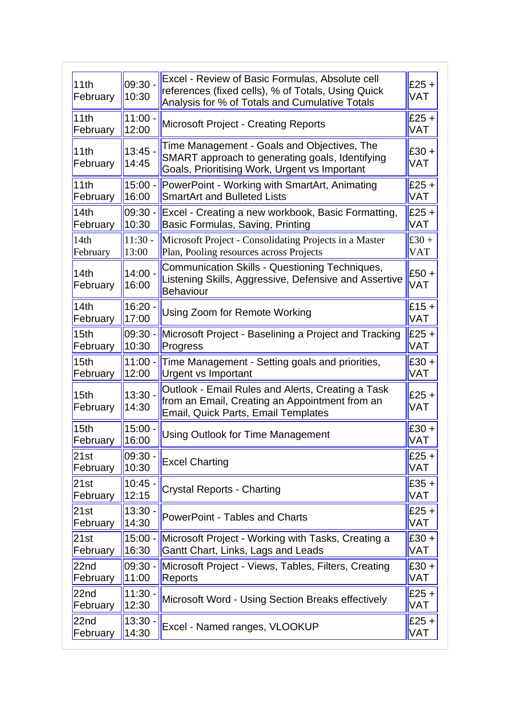| 11th<br>February             | $09:30 -$<br>10:30 | Excel - Review of Basic Formulas, Absolute cell<br>references (fixed cells), % of Totals, Using Quick<br>Analysis for % of Totals and Cumulative Totals | $£25 +$<br><b>VAT</b> |
|------------------------------|--------------------|---------------------------------------------------------------------------------------------------------------------------------------------------------|-----------------------|
| 11th                         | $11:00 -$          | <b>Microsoft Project - Creating Reports</b>                                                                                                             | $£25 +$               |
| February                     | 12:00              |                                                                                                                                                         | <b>VAT</b>            |
| 11th<br>February             | 13:45<br>14:45     | Time Management - Goals and Objectives, The<br>SMART approach to generating goals, Identifying<br>Goals, Prioritising Work, Urgent vs Important         | $£30 +$<br><b>VAT</b> |
| 11th                         | $15:00 -$          | PowerPoint - Working with SmartArt, Animating                                                                                                           | $£25 +$               |
| February                     | 16:00              | <b>SmartArt and Bulleted Lists</b>                                                                                                                      | <b>VAT</b>            |
| 14th                         | $09:30 -$          | Excel - Creating a new workbook, Basic Formatting,                                                                                                      | $£25 +$               |
| February                     | 10:30              | Basic Formulas, Saving, Printing                                                                                                                        | VAT                   |
| 14th                         | $11:30 -$          | Microsoft Project - Consolidating Projects in a Master                                                                                                  | £30 +                 |
| February                     | 13:00              | Plan, Pooling resources across Projects                                                                                                                 | <b>VAT</b>            |
| 14th<br>February             | 14:00.<br>16:00    | Communication Skills - Questioning Techniques,<br>Listening Skills, Aggressive, Defensive and Assertive<br><b>Behaviour</b>                             | $£50 +$<br>VAT        |
| 14th                         | $16:20 -$          | Using Zoom for Remote Working                                                                                                                           | $£15 +$               |
| February                     | 17:00              |                                                                                                                                                         | VAT                   |
| 15 <sub>th</sub>             | $09:30 -$          | Microsoft Project - Baselining a Project and Tracking                                                                                                   | $£25 +$               |
| February                     | 10:30              | Progress                                                                                                                                                | <b>VAT</b>            |
| 15 <sub>th</sub>             | $11:00 -$          | Time Management - Setting goals and priorities,                                                                                                         | $£30 +$               |
| February                     | 12:00              | <b>Urgent vs Important</b>                                                                                                                              | VAT                   |
| 15 <sub>th</sub><br>February | $13:30 -$<br>14:30 | Outlook - Email Rules and Alerts, Creating a Task<br>from an Email, Creating an Appointment from an<br>Email, Quick Parts, Email Templates              | $£25 +$<br>VAT        |
| 15 <sub>th</sub>             | 15:00              | <b>Using Outlook for Time Management</b>                                                                                                                | $£30 +$               |
| February                     | 16:00              |                                                                                                                                                         | VAT                   |
| 21st                         | 09:30 -            | <b>Excel Charting</b>                                                                                                                                   | $£25 +$               |
| February                     | 10:30              |                                                                                                                                                         | VAT                   |
| 21st                         | 10:45              | <b>Crystal Reports - Charting</b>                                                                                                                       | $£35 +$               |
| February                     | 12:15              |                                                                                                                                                         | VAT                   |
| 21st                         | 13:30.             | <b>PowerPoint - Tables and Charts</b>                                                                                                                   | $£25 +$               |
| February                     | 14:30              |                                                                                                                                                         | VAT                   |
| 21st                         | $15:00 -$          | Microsoft Project - Working with Tasks, Creating a                                                                                                      | $£30 +$               |
| February                     | 16:30              | Gantt Chart, Links, Lags and Leads                                                                                                                      | VAT                   |
| 22 <sub>nd</sub>             | $09:30 -$          | Microsoft Project - Views, Tables, Filters, Creating                                                                                                    | $£30 +$               |
| February                     | 11:00              | Reports                                                                                                                                                 | VAT                   |
| 22nd                         | $11:30 -$          | Microsoft Word - Using Section Breaks effectively                                                                                                       | $£25 +$               |
| February                     | 12:30              |                                                                                                                                                         | VAT                   |
| 22 <sub>nd</sub>             | $13:30 -$          | Excel - Named ranges, VLOOKUP                                                                                                                           | $£25 +$               |
| February                     | 14:30              |                                                                                                                                                         | VAT                   |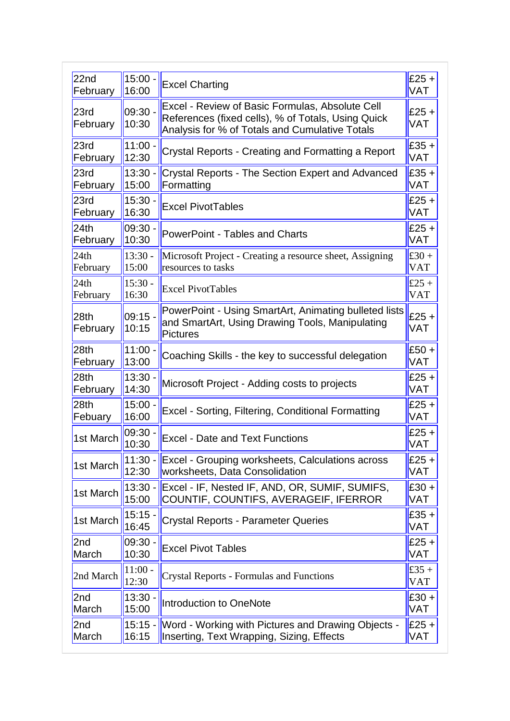| 22 <sub>nd</sub>             | $15:00 -$          | <b>Excel Charting</b>                                                                                                                                   | $E25 +$               |
|------------------------------|--------------------|---------------------------------------------------------------------------------------------------------------------------------------------------------|-----------------------|
| February                     | 16:00              |                                                                                                                                                         | <b>VAT</b>            |
| 23rd<br>February             | $09:30 -$<br>10:30 | Excel - Review of Basic Formulas, Absolute Cell<br>References (fixed cells), % of Totals, Using Quick<br>Analysis for % of Totals and Cumulative Totals | $£25 +$<br><b>VAT</b> |
| 23rd                         | 11:00.             | Crystal Reports - Creating and Formatting a Report                                                                                                      | $£35 +$               |
| February                     | 12:30              |                                                                                                                                                         | <b>VAT</b>            |
| 23rd                         | $13:30 -$          | <b>Crystal Reports - The Section Expert and Advanced</b>                                                                                                | $£35 +$               |
| February                     | 15:00              | Formatting                                                                                                                                              | <b>VAT</b>            |
| 23rd                         | 15:30.             | <b>Excel PivotTables</b>                                                                                                                                | $£25 +$               |
| February                     | 16:30              |                                                                                                                                                         | <b>VAT</b>            |
| 24th                         | 09:30              | <b>PowerPoint - Tables and Charts</b>                                                                                                                   | $£25 +$               |
| February                     | 10:30              |                                                                                                                                                         | <b>VAT</b>            |
| 24th                         | $13:30 -$          | Microsoft Project - Creating a resource sheet, Assigning                                                                                                | £30 +                 |
| February                     | 15:00              | resources to tasks                                                                                                                                      | <b>VAT</b>            |
| 24th                         | $15:30 -$          | <b>Excel PivotTables</b>                                                                                                                                | $£25 +$               |
| February                     | 16:30              |                                                                                                                                                         | <b>VAT</b>            |
| 28 <sub>th</sub><br>February | 09:15<br>10:15     | PowerPoint - Using SmartArt, Animating bulleted lists<br>and SmartArt, Using Drawing Tools, Manipulating<br><b>Pictures</b>                             | $£25 +$<br><b>VAT</b> |
| 28 <sub>th</sub>             | 11:00              | Coaching Skills - the key to successful delegation                                                                                                      | $£50 +$               |
| February                     | 13:00              |                                                                                                                                                         | <b>VAT</b>            |
| 28 <sub>th</sub>             | 13:30.             | Microsoft Project - Adding costs to projects                                                                                                            | $£25 +$               |
| February                     | 14:30              |                                                                                                                                                         | <b>VAT</b>            |
| 28 <sub>th</sub>             | 15:00              | Excel - Sorting, Filtering, Conditional Formatting                                                                                                      | $£25 +$               |
| Febuary                      | 16:00              |                                                                                                                                                         | <b>VAT</b>            |
| 1st March                    | 09:30<br>10:30     | <b>Excel - Date and Text Functions</b>                                                                                                                  | $£25 +$<br><b>VAT</b> |
| 1st March                    | $11:30 -$          | Excel - Grouping worksheets, Calculations across                                                                                                        | $£25 +$               |
|                              | 12:30              | worksheets, Data Consolidation                                                                                                                          | <b>VAT</b>            |
| 1st March                    | $13:30 -$          | Excel - IF, Nested IF, AND, OR, SUMIF, SUMIFS,                                                                                                          | $£30 +$               |
|                              | 15:00              | COUNTIF, COUNTIFS, AVERAGEIF, IFERROR                                                                                                                   | <b>VAT</b>            |
| 1st March                    | $15:15 -$<br>16:45 | <b>Crystal Reports - Parameter Queries</b>                                                                                                              | $£35 +$<br><b>VAT</b> |
| 2nd                          | $09:30 -$          | <b>Excel Pivot Tables</b>                                                                                                                               | $£25 +$               |
| March                        | 10:30              |                                                                                                                                                         | <b>VAT</b>            |
| 2nd March                    | $11:00 -$<br>12:30 | <b>Crystal Reports - Formulas and Functions</b>                                                                                                         | £35 +<br><b>VAT</b>   |
| 2nd                          | 13:30.             | Introduction to OneNote                                                                                                                                 | $£30 +$               |
| March                        | 15:00              |                                                                                                                                                         | <b>VAT</b>            |
| 2 <sub>nd</sub>              | $15:15 -$          | Word - Working with Pictures and Drawing Objects -                                                                                                      | $E25 +$               |
| March                        | 16:15              | Inserting, Text Wrapping, Sizing, Effects                                                                                                               | <b>VAT</b>            |